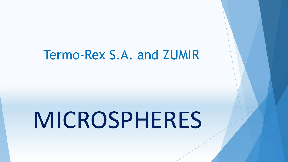# Termo-Rex S.A. and ZUMIR

# MICROSPHERES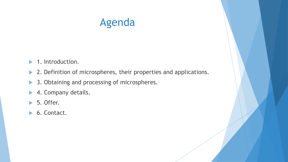#### Agenda

- ▶ 1. Introduction.
- ▶ 2. Definition of microspheres, their properties and applications.
- ▶ 3. Obtaining and processing of microspheres.
- ▶ 4. Company details.
- $\blacktriangleright$  5. Offer.
- ▶ 6. Contact.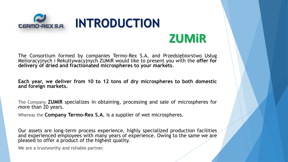

## **ZUMiR**

The Consortium formed by companies Termo-Rex S.A. and Przedsiębiorstwo Usług Melioracyjnych i Rekultywacyjnych ZUMiR would like to present you with the **offer for delivery of dried and fractionated microspheres to your markets**.

**Each year, we deliver from 10 to 12 tons of dry microspheres to both domestic and foreign markets.**

The Company **ZUMIR** specializes in obtaining, processing and sale of microspheres for more than 20 years.

Whereas the **Company Termo-Rex S.A.** is a supplier of wet microspheres.

Our assets are long-term process experience, highly specialized production facilities and experienced employees with many years of experience. Owing to the same we are pleased to offer a product of the highest quality.

We are a trustworthy and reliable partner.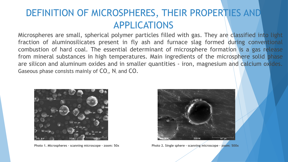#### DEFINITION OF MICROSPHERES, THEIR PROPERTIES AND APPLICATIONS

Microspheres are small, spherical polymer particles filled with gas. They are classified into light fraction of aluminosilicates present in fly ash and furnace slag formed during conventional combustion of hard coal. The essential determinant of microsphere formation is a gas release from mineral substances in high temperatures. Main ingredients of the microsphere solid phase are silicon and aluminum oxides and in smaller quantities - iron, magnesium and calcium oxides. Gaseous phase consists mainly of  $CO<sub>2</sub>$ , N<sub>2</sub> and CO.





**Photo 1. Microspheres – scanning microscope - zoom: 50x Photo 2. Single sphere – scanning microscope - zoom: 500x**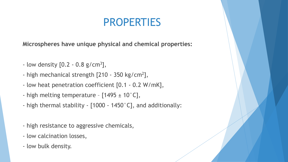#### PROPERTIES

**Microspheres have unique physical and chemical properties:**

- $-$  low density  $[0.2 0.8 \text{ g/cm}^3],$
- high mechanical strength [210 350 kg/cm<sup>2</sup>],
- low heat penetration coefficient [0.1 0.2 W/mK],
- high melting temperature  $[1495 \pm 10^{\circ}$ C],
- high thermal stability [1000 1450°C], and additionally:
- high resistance to aggressive chemicals,
- low calcination losses,
- low bulk density.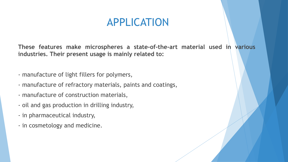#### APPLICATION

**These features make microspheres a state-of-the-art material used in various industries. Their present usage is mainly related to:**

- manufacture of light fillers for polymers,
- manufacture of refractory materials, paints and coatings,
- manufacture of construction materials,
- oil and gas production in drilling industry,
- in pharmaceutical industry,
- in cosmetology and medicine.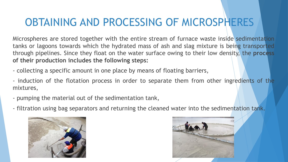## OBTAINING AND PROCESSING OF MICROSPHERES

Microspheres are stored together with the entire stream of furnace waste inside sedimentation tanks or lagoons towards which the hydrated mass of ash and slag mixture is being transported through pipelines. Since they float on the water surface owing to their low density, the **process of their production includes the following steps:**

- collecting a specific amount in one place by means of floating barriers,

- induction of the flotation process in order to separate them from other ingredients of the mixtures,

- pumping the material out of the sedimentation tank,
- filtration using bag separators and returning the cleaned water into the sedimentation tank.



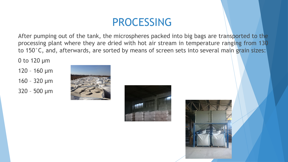### PROCESSING

After pumping out of the tank, the microspheres packed into big bags are transported to the processing plant where they are dried with hot air stream in temperature ranging from 130 to 150°C, and, afterwards, are sorted by means of screen sets into several main grain sizes:

0 to 120 µm

120 – 160 µm

160 – 320 µm

320 – 500 µm





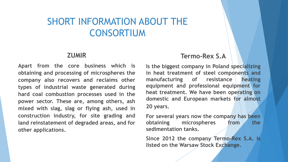#### SHORT INFORMATION ABOUT THE CONSORTIUM

#### **ZUMIR**

**Apart from the core business which is obtaining and processing of microspheres the company also recovers and reclaims other types of industrial waste generated during hard coal combustion processes used in the power sector. These are, among others, ash mixed with slag, slag or flying ash, used in construction industry, for site grading and land reinstatement of degraded areas, and for other applications.**

#### **Termo-Rex S.A**

**Is the biggest company in Poland specializing in heat treatment of steel components and manufacturing of resistance heating equipment and professional equipment for heat treatment. We have been operating on domestic and European markets for almost 20 years.**

**For several years now the company has been obtaining microspheres from the sedimentation tanks.**

**Since 2012 the company Termo-Rex S.A. is listed on the Warsaw Stock Exchange.**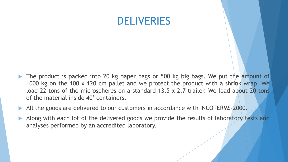#### DELIVERIES

- The product is packed into 20 kg paper bags or 500 kg big bags. We put the amount of 1000 kg on the 100 x 120 cm pallet and we protect the product with a shrink wrap. We load 22 tons of the microspheres on a standard 13.5 x 2.7 trailer. We load about 20 tons of the material inside 40' containers.
- All the goods are delivered to our customers in accordance with INCOTERMS-2000.
- Along with each lot of the delivered goods we provide the results of laboratory tests and analyses performed by an accredited laboratory.